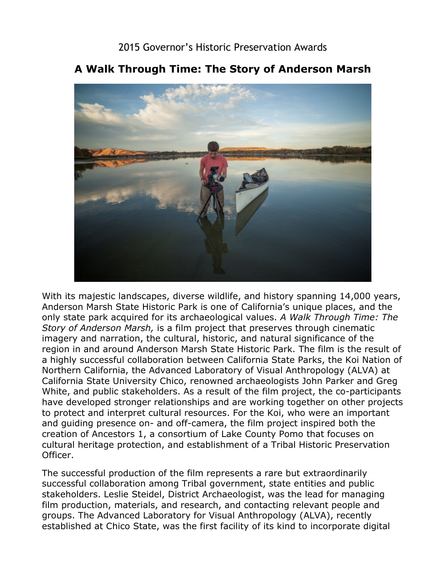## 2015 Governor's Historic Preservation Awards



## **A Walk Through Time: The Story of Anderson Marsh**

 With its majestic landscapes, diverse wildlife, and history spanning 14,000 years, region in and around Anderson Marsh State Historic Park. The film is the result of White, and public stakeholders. As a result of the film project, the co-participants Anderson Marsh State Historic Park is one of California's unique places, and the only state park acquired for its archaeological values. *A Walk Through Time: The Story of Anderson Marsh,* is a film project that preserves through cinematic imagery and narration, the cultural, historic, and natural significance of the a highly successful collaboration between California State Parks, the Koi Nation of Northern California, the Advanced Laboratory of Visual Anthropology (ALVA) at California State University Chico, renowned archaeologists John Parker and Greg have developed stronger relationships and are working together on other projects to protect and interpret cultural resources. For the Koi, who were an important and guiding presence on- and off-camera, the film project inspired both the creation of Ancestors 1, a consortium of Lake County Pomo that focuses on cultural heritage protection, and establishment of a Tribal Historic Preservation Officer.

The successful production of the film represents a rare but extraordinarily successful collaboration among Tribal government, state entities and public stakeholders. Leslie Steidel, District Archaeologist, was the lead for managing film production, materials, and research, and contacting relevant people and groups. The Advanced Laboratory for Visual Anthropology (ALVA), recently established at Chico State, was the first facility of its kind to incorporate digital